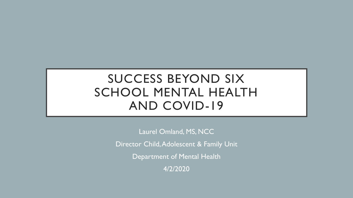# SUCCESS BEYOND SIX SCHOOL MENTAL HEALTH AND COVID-19

Laurel Omland, MS, NCC

Director Child, Adolescent & Family Unit

Department of Mental Health

4/2/2020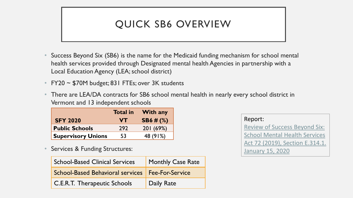## QUICK SB6 OVERVIEW

- Success Beyond Six (SB6) is the name for the Medicaid funding mechanism for school mental health services provided through Designated mental health Agencies in partnership with a Local Education Agency (LEA; school district)
- FY20  $\sim$  \$70M budget; 831 FTEs; over 3K students
- There are LEA/DA contracts for SB6 school mental health in nearly every school district in Vermont and 13 independent schools

|                           | <b>Total in</b> | <b>With any</b> |
|---------------------------|-----------------|-----------------|
| <b>SFY 2020</b>           | <b>VT</b>       | $SB6 \# (%)$    |
| <b>Public Schools</b>     | 292             | 201(69%)        |
| <b>Supervisory Unions</b> | 53              | 48 (91%)        |

Services & Funding Structures:

| <b>School-Based Clinical Services</b>              | Monthly Case Rate |  |
|----------------------------------------------------|-------------------|--|
| School-Based Behavioral services   Fee-For-Service |                   |  |
| <b>C.E.R.T. Therapeutic Schools</b>                | Daily Rate        |  |

Report: [Review of Success Beyond Six:](https://mentalhealth.vermont.gov/sites/mhnew/files/documents/AboutUs/Leg/Act72_SecE-314-1_SB6-Final_2020-1-15.pdf)  School Mental Health Services [Act 72 \(2019\), Section](https://mentalhealth.vermont.gov/sites/mhnew/files/documents/AboutUs/Leg/Act72_SecE-314-1_SB6-Final_2020-1-15.pdf) E.314.1. [January 15, 2020](https://mentalhealth.vermont.gov/sites/mhnew/files/documents/AboutUs/Leg/Act72_SecE-314-1_SB6-Final_2020-1-15.pdf)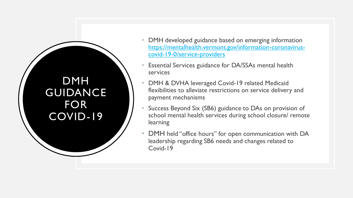DMH GUIDANCE FOR COVID-19

- DMH developed guidance based on emerging information [https://mentalhealth.vermont.gov/information-coronavirus](https://mentalhealth.vermont.gov/information-coronavirus-covid-19-0/service-providers)covid-19-0/service-providers
- Essential Services guidance for DA/SSAs mental health services
- DMH & DVHA leveraged Covid-19 related Medicaid flexibilities to alleviate restrictions on service delivery and payment mechanisms
- Success Beyond Six (SB6) guidance to DAs on provision of school mental health services during school closure/ remote learning
- DMH held "office hours" for open communication with DA leadership regarding SB6 needs and changes related to Covid-19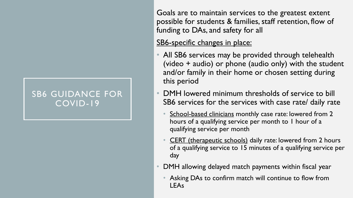#### SB6 GUIDANCE FOR COVID-19

Goals are to maintain services to the greatest extent possible for students & families, staff retention, flow of funding to DAs, and safety for all

#### SB6-specific changes in place:

- All SB6 services may be provided through telehealth (video + audio) or phone (audio only) with the student and/or family in their home or chosen setting during this period
- DMH lowered minimum thresholds of service to bill SB6 services for the services with case rate/ daily rate
	- School-based clinicians monthly case rate: lowered from 2 hours of a qualifying service per month to 1 hour of a qualifying service per month
	- **CERT** (therapeutic schools) daily rate: lowered from 2 hours of a qualifying service to 15 minutes of a qualifying service per day
- DMH allowing delayed match payments within fiscal year
	- Asking DAs to confirm match will continue to flow from LEAs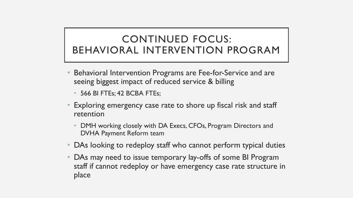### CONTINUED FOCUS: BEHAVIORAL INTERVENTION PROGRAM

- Behavioral Intervention Programs are Fee-for-Service and are seeing biggest impact of reduced service & billing
	- 566 BI FTEs; 42 BCBA FTEs;
- Exploring emergency case rate to shore up fiscal risk and staff retention
	- DMH working closely with DA Execs, CFOs, Program Directors and DVHA Payment Reform team
- DAs looking to redeploy staff who cannot perform typical duties
- DAs may need to issue temporary lay-offs of some BI Program staff if cannot redeploy or have emergency case rate structure in place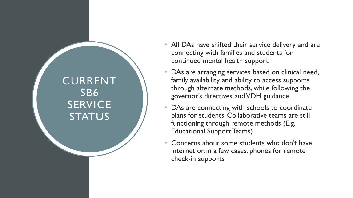CURRENT SB6 **SERVICE STATUS** 

- All DAs have shifted their service delivery and are connecting with families and students for continued mental health support
- DAs are arranging services based on clinical need, family availability and ability to access supports through alternate methods, while following the governor's directives and VDH guidance
- DAs are connecting with schools to coordinate plans for students. Collaborative teams are still functioning through remote methods (E.g. Educational Support Teams)
- Concerns about some students who don't have internet or, in a few cases, phones for remote check -in supports